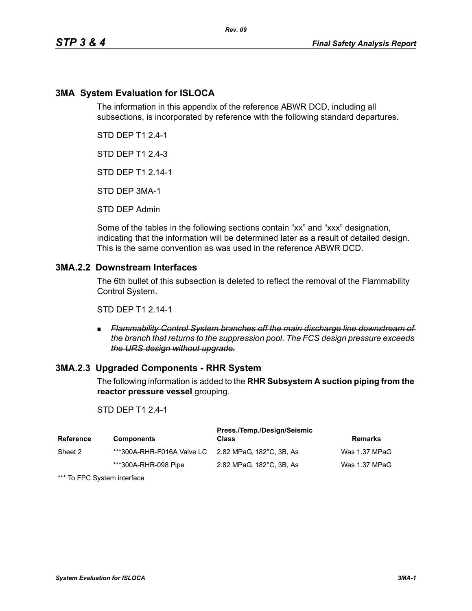## **3MA System Evaluation for ISLOCA**

The information in this appendix of the reference ABWR DCD, including all subsections, is incorporated by reference with the following standard departures.

STD DEP T1 2.4-1

STD DEP T1 2.4-3

STD DEP T1 2.14-1

STD DEP 3MA-1

STD DEP Admin

Some of the tables in the following sections contain "xx" and "xxx" designation, indicating that the information will be determined later as a result of detailed design. This is the same convention as was used in the reference ABWR DCD.

### **3MA.2.2 Downstream Interfaces**

The 6th bullet of this subsection is deleted to reflect the removal of the Flammability Control System.

STD DEP T1 2.14-1

 *Flammability Control System branches off the main discharge line downstream of the branch that returns to the suppression pool. The FCS design pressure exceeds the URS design without upgrade.*

### **3MA.2.3 Upgraded Components - RHR System**

The following information is added to the **RHR Subsystem A suction piping from the reactor pressure vessel** grouping.

### STD DEP T1 2.4-1

| <b>Reference</b> | <b>Components</b>                                   | Press./Temp./Design/Seismic<br>Class | <b>Remarks</b> |
|------------------|-----------------------------------------------------|--------------------------------------|----------------|
| Sheet 2          | ***300A-RHR-F016A Valve LC 2.82 MPaG. 182°C. 3B. As |                                      | Was 1.37 MPaG  |
|                  | ***300A-RHR-098 Pipe                                | 2.82 MPaG, 182°C, 3B, As             | Was 1.37 MPaG  |

\*\*\* To FPC System interface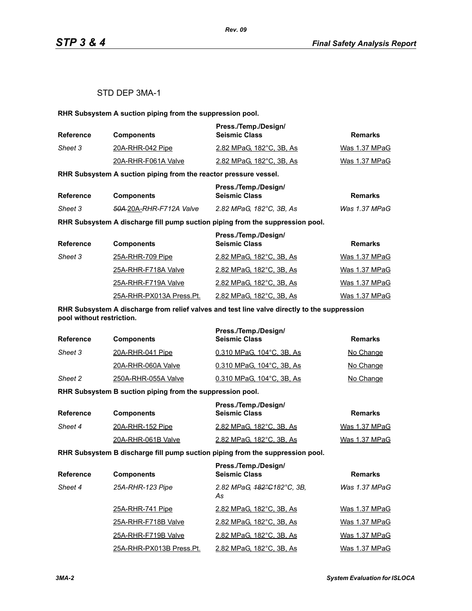### STD DEP 3MA-1

**RHR Subsystem A suction piping from the suppression pool.**

| <b>Reference</b> | <b>Components</b>   | Press./Temp./Design/<br><b>Seismic Class</b> | Remarks       |
|------------------|---------------------|----------------------------------------------|---------------|
| Sheet 3          | 20A-RHR-042 Pipe    | 2.82 MPaG. 182°C. 3B. As                     | Was 1.37 MPaG |
|                  | 20A-RHR-F061A Valve | 2.82 MPaG, 182°C, 3B, As                     | Was 1.37 MPaG |

**RHR Subsystem A suction piping from the reactor pressure vessel.**

| Reference |                                     | Press./Temp./Design/     |               |
|-----------|-------------------------------------|--------------------------|---------------|
|           | <b>Components</b>                   | <b>Seismic Class</b>     | Remarks       |
| Sheet 3   | <del>50A 2</del> 0A-RHR-F712A Valve | 2.82 MPaG. 182°C. 3B. As | Was 1.37 MPaG |

**RHR Subsystem A discharge fill pump suction piping from the suppression pool.**

| <b>Reference</b> | <b>Components</b>        | Press./Temp./Design/<br><b>Seismic Class</b> | <b>Remarks</b> |
|------------------|--------------------------|----------------------------------------------|----------------|
| Sheet 3          | 25A-RHR-709 Pipe         | 2.82 MPaG, 182°C, 3B, As                     | Was 1.37 MPaG  |
|                  | 25A-RHR-F718A Valve      | 2.82 MPaG, 182°C, 3B, As                     | Was 1.37 MPaG  |
|                  | 25A-RHR-F719A Valve      | 2.82 MPaG, 182°C, 3B, As                     | Was 1.37 MPaG  |
|                  | 25A-RHR-PX013A Press.Pt. | 2.82 MPaG, 182°C, 3B, As                     | Was 1.37 MPaG  |

**RHR Subsystem A discharge from relief valves and test line valve directly to the suppression pool without restriction.**

| <b>Reference</b> | <b>Components</b>   | Press./Temp./Design/<br><b>Seismic Class</b> | Remarks   |
|------------------|---------------------|----------------------------------------------|-----------|
| Sheet 3          | 20A-RHR-041 Pipe    | 0.310 MPaG, 104°C, 3B, As                    | No Change |
|                  | 20A-RHR-060A Valve  | 0.310 MPaG, 104°C, 3B, As                    | No Change |
| Sheet 2          | 250A-RHR-055A Valve | 0.310 MPaG, 104°C, 3B, As                    | No Change |

**RHR Subsystem B suction piping from the suppression pool.**

| Reference | <b>Components</b>  | Press./Temp./Design/<br><b>Seismic Class</b> | Remarks       |
|-----------|--------------------|----------------------------------------------|---------------|
| Sheet 4   | 20A-RHR-152 Pipe   | 2.82 MPaG, 182°C, 3B, As                     | Was 1.37 MPaG |
|           | 20A-RHR-061B Valve | 2.82 MPaG, 182°C, 3B, As                     | Was 1.37 MPaG |

**RHR Subsystem B discharge fill pump suction piping from the suppression pool.**

| <b>Reference</b> | <b>Components</b>        | Press./Temp./Design/<br><b>Seismic Class</b> | <b>Remarks</b> |
|------------------|--------------------------|----------------------------------------------|----------------|
| Sheet 4          | 25A-RHR-123 Pipe         | 2.82 MPaG, 182°C182°C, 3B,<br>As             | Was 1.37 MPaG  |
|                  | 25A-RHR-741 Pipe         | 2.82 MPaG, 182°C, 3B, As                     | Was 1.37 MPaG  |
|                  | 25A-RHR-F718B Valve      | 2.82 MPaG, 182°C, 3B, As                     | Was 1.37 MPaG  |
|                  | 25A-RHR-F719B Valve      | 2.82 MPaG, 182°C, 3B, As                     | Was 1.37 MPaG  |
|                  | 25A-RHR-PX013B Press.Pt. | 2.82 MPaG, 182°C, 3B, As                     | Was 1.37 MPaG  |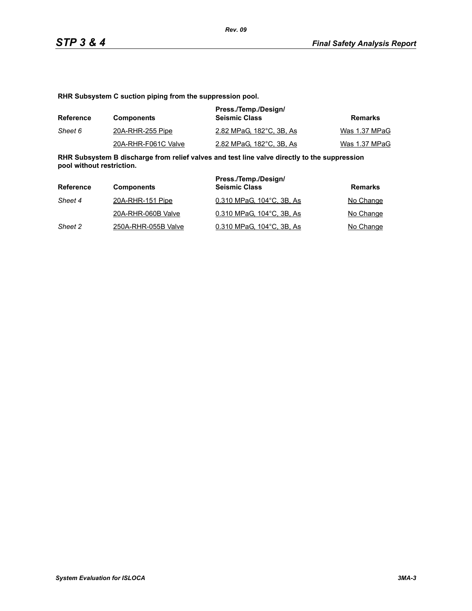**RHR Subsystem C suction piping from the suppression pool.**

| Reference | <b>Components</b>   | Press./Temp./Design/<br><b>Seismic Class</b> | Remarks       |
|-----------|---------------------|----------------------------------------------|---------------|
| Sheet 6   | 20A-RHR-255 Pipe    | 2.82 MPaG, 182°C, 3B, As                     | Was 1.37 MPaG |
|           | 20A-RHR-F061C Valve | 2.82 MPaG, 182°C, 3B, As                     | Was 1.37 MPaG |

**RHR Subsystem B discharge from relief valves and test line valve directly to the suppression pool without restriction.**

| Reference | <b>Components</b>   | Press./Temp./Design/<br><b>Seismic Class</b> | Remarks   |
|-----------|---------------------|----------------------------------------------|-----------|
| Sheet 4   | 20A-RHR-151 Pipe    | 0.310 MPaG, 104°C, 3B, As                    | No Change |
|           | 20A-RHR-060B Valve  | 0.310 MPaG, 104°C, 3B, As                    | No Change |
| Sheet 2   | 250A-RHR-055B Valve | 0.310 MPaG, 104°C, 3B, As                    | No Change |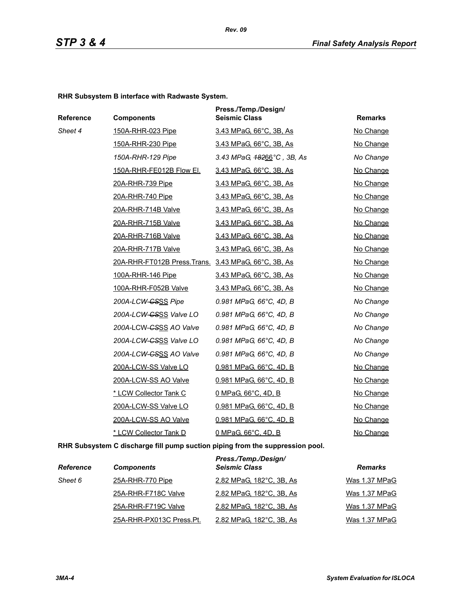**RHR Subsystem B interface with Radwaste System.**

| Reference | <b>Components</b>                                    | Press./Temp./Design/<br><b>Seismic Class</b> | <b>Remarks</b> |
|-----------|------------------------------------------------------|----------------------------------------------|----------------|
| Sheet 4   | 150A-RHR-023 Pipe                                    | 3.43 MPaG, 66°C, 3B, As                      | No Change      |
|           | 150A-RHR-230 Pipe                                    | 3.43 MPaG, 66°C, 3B, As                      | No Change      |
|           | 150A-RHR-129 Pipe                                    | 3.43 MPaG, <del>182</del> 66°C, 3B, As       | No Change      |
|           | 150A-RHR-FE012B Flow El.                             | 3.43 MPaG, 66°C, 3B, As                      | No Change      |
|           | 20A-RHR-739 Pipe                                     | 3.43 MPaG, 66°C, 3B, As                      | No Change      |
|           | 20A-RHR-740 Pipe                                     | 3.43 MPaG, 66°C, 3B, As                      | No Change      |
|           | 20A-RHR-714B Valve                                   | 3.43 MPaG, 66°C, 3B, As                      | No Change      |
|           | 20A-RHR-715B Valve                                   | <u>3.43 MPaG, 66°C, 3B, As</u>               | No Change      |
|           | 20A-RHR-716B Valve                                   | 3.43 MPaG, 66°C, 3B, As                      | No Change      |
|           | 20A-RHR-717B Valve                                   | 3.43 MPaG, 66°C, 3B, As                      | No Change      |
|           | 20A-RHR-FT012B Press. Trans. 3.43 MPaG, 66°C, 3B, As |                                              | No Change      |
|           | 100A-RHR-146 Pipe                                    | 3.43 MPaG, 66°C, 3B, As                      | No Change      |
|           | 100A-RHR-F052B Valve                                 | 3.43 MPaG, 66°C, 3B, As                      | No Change      |
|           | 200A-LCW-CSSS Pipe                                   | 0.981 MPaG, 66°C, 4D, B                      | No Change      |
|           | 200A-LCW-GSSS Valve LO                               | 0.981 MPaG, 66°C, 4D, B                      | No Change      |
|           | 200A-LCW-CSSS AO Valve                               | 0.981 MPaG, 66°C, 4D, B                      | No Change      |
|           | 200A-LCW-GSSS Valve LO                               | 0.981 MPaG, 66°C, 4D, B                      | No Change      |
|           | 200A-LCW-GSSS AO Valve                               | 0.981 MPaG, 66°C, 4D, B                      | No Change      |
|           | 200A-LCW-SS Valve LO                                 | 0.981 MPaG, 66°C, 4D, B                      | No Change      |
|           | 200A-LCW-SS AO Valve                                 | 0.981 MPaG, 66°C, 4D, B                      | No Change      |
|           | * LCW Collector Tank C                               | 0 MPaG, 66°C, 4D, B                          | No Change      |
|           | 200A-LCW-SS Valve LO                                 | 0.981 MPaG, 66°C, 4D, B                      | No Change      |
|           | 200A-LCW-SS AO Valve                                 | 0.981 MPaG, 66°C, 4D, B                      | No Change      |
|           | * LCW Collector Tank D                               | 0 MPaG, 66°C, 4D, B                          | No Change      |

**RHR Subsystem C discharge fill pump suction piping from the suppression pool.**

| <b>Reference</b> | <b>Components</b>        | Press./Temp./Design/<br><b>Seismic Class</b> | <b>Remarks</b> |
|------------------|--------------------------|----------------------------------------------|----------------|
| Sheet 6          | 25A-RHR-770 Pipe         | 2.82 MPaG, 182°C, 3B, As                     | Was 1.37 MPaG  |
|                  | 25A-RHR-F718C Valve      | 2.82 MPaG, 182°C, 3B, As                     | Was 1.37 MPaG  |
|                  | 25A-RHR-F719C Valve      | 2.82 MPaG, 182°C, 3B, As                     | Was 1.37 MPaG  |
|                  | 25A-RHR-PX013C Press.Pt. | 2.82 MPaG, 182°C, 3B, As                     | Was 1.37 MPaG  |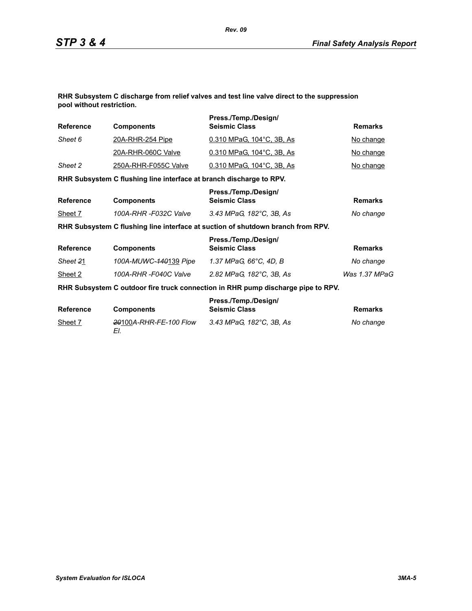**RHR Subsystem C discharge from relief valves and test line valve direct to the suppression pool without restriction.**

| <b>Reference</b> | <b>Components</b>                                                   | Press./Temp./Design/<br><b>Seismic Class</b>                                     | <b>Remarks</b> |
|------------------|---------------------------------------------------------------------|----------------------------------------------------------------------------------|----------------|
| Sheet 6          | <u>20A-RHR-254 Pipe</u>                                             | 0.310 MPaG, 104°C, 3B, As                                                        | No change      |
|                  | 20A-RHR-060C Valve                                                  | 0.310 MPaG, 104°C, 3B, As                                                        | No change      |
| Sheet 2          | 250A-RHR-F055C Valve                                                | 0.310 MPaG, 104°C, 3B, As                                                        | No change      |
|                  | RHR Subsystem C flushing line interface at branch discharge to RPV. |                                                                                  |                |
| <b>Reference</b> | <b>Components</b>                                                   | Press./Temp./Design/<br><b>Seismic Class</b>                                     | <b>Remarks</b> |
| Sheet 7          | 100A-RHR -F032C Valve                                               | 3.43 MPaG, 182°C, 3B, As                                                         | No change      |
|                  |                                                                     | RHR Subsystem C flushing line interface at suction of shutdown branch from RPV.  |                |
| <b>Reference</b> | <b>Components</b>                                                   | Press./Temp./Design/<br><b>Seismic Class</b>                                     | <b>Remarks</b> |
| Sheet 21         | 100A-MUWC-140139 Pipe                                               | 1.37 MPaG, 66°C, 4D, B                                                           | No change      |
| Sheet 2          | 100A-RHR-F040C Valve                                                | 2.82 MPaG, 182°C, 3B, As                                                         | Was 1.37 MPaG  |
|                  |                                                                     | RHR Subsystem C outdoor fire truck connection in RHR pump discharge pipe to RPV. |                |
| <b>Reference</b> | <b>Components</b>                                                   | Press./Temp./Design/<br><b>Seismic Class</b>                                     | <b>Remarks</b> |
| Sheet 7          | 20100A-RHR-FE-100 Flow<br>EI.                                       | 3.43 MPaG, 182°C, 3B, As                                                         | No change      |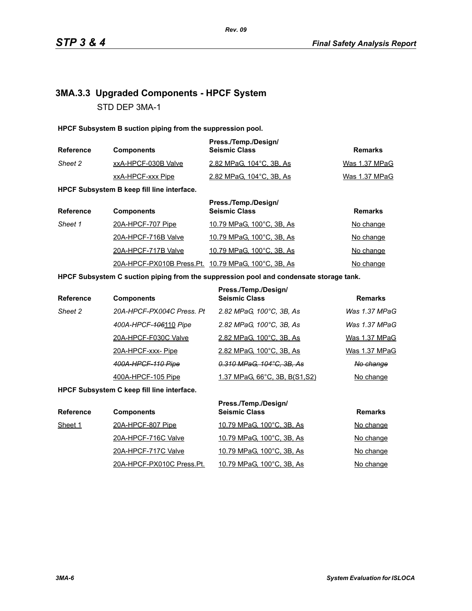# **3MA.3.3 Upgraded Components - HPCF System** STD DEP 3MA-1

**HPCF Subsystem B suction piping from the suppression pool.**

| <b>Reference</b> | <b>Components</b>   | Press./Temp./Design/<br><b>Seismic Class</b> | Remarks       |
|------------------|---------------------|----------------------------------------------|---------------|
| Sheet 2          | xxA-HPCF-030B Valve | 2.82 MPaG, 104°C, 3B, As                     | Was 1.37 MPaG |
|                  | xxA-HPCF-xxx Pipe   | 2.82 MPaG, 104 °C, 3B, As                    | Was 1.37 MPaG |

**HPCF Subsystem B keep fill line interface.**

| <b>Reference</b> | <b>Components</b>                                    | Press./Temp./Design/<br><b>Seismic Class</b> | <b>Remarks</b> |
|------------------|------------------------------------------------------|----------------------------------------------|----------------|
| Sheet 1          | 20A-HPCF-707 Pipe                                    | 10.79 MPaG, 100°C, 3B, As                    | No change      |
|                  | 20A-HPCF-716B Valve                                  | 10.79 MPaG, 100°C, 3B, As                    | No change      |
|                  | 20A-HPCF-717B Valve                                  | 10.79 MPaG, 100°C, 3B, As                    | No change      |
|                  | 20A-HPCF-PX010B Press. Pt. 10.79 MPaG, 100°C, 3B, As |                                              | No change      |

#### **HPCF Subsystem C suction piping from the suppression pool and condensate storage tank.**

| <b>Reference</b> | <b>Components</b>         | Press./Temp./Design/<br><b>Seismic Class</b> | <b>Remarks</b> |
|------------------|---------------------------|----------------------------------------------|----------------|
| Sheet 2          | 20A-HPCF-PX004C Press, Pt | 2.82 MPaG, 100°C, 3B, As                     | Was 1.37 MPaG  |
|                  | 400A-HPCF-406110 Pipe     | 2.82 MPaG, 100°C, 3B, As                     | Was 1.37 MPaG  |
|                  | 20A-HPCF-F030C Valve      | 2.82 MPaG, 100°C, 3B, As                     | Was 1.37 MPaG  |
|                  | 20A-HPCF-xxx-Pipe         | 2.82 MPaG, 100°C, 3B, As                     | Was 1.37 MPaG  |
|                  | 400A-HPCF-110 Pipe        | 0.310 MPaG, 104°C, 3B, As                    | No change      |
|                  | 400A-HPCF-105 Pipe        | <u>1.37 MPaG, 66°C, 3B, B(S1,S2)</u>         | No change      |

**HPCF Subsystem C keep fill line interface.**

| <b>Reference</b> | <b>Components</b>         | Press./Temp./Design/<br><b>Seismic Class</b> | <b>Remarks</b> |
|------------------|---------------------------|----------------------------------------------|----------------|
| Sheet 1          | 20A-HPCF-807 Pipe         | 10.79 MPaG, 100°C, 3B, As                    | No change      |
|                  | 20A-HPCF-716C Valve       | 10.79 MPaG, 100°C, 3B, As                    | No change      |
|                  | 20A-HPCF-717C Valve       | 10.79 MPaG, 100°C, 3B, As                    | No change      |
|                  | 20A-HPCF-PX010C Press.Pt. | 10.79 MPaG, 100°C, 3B, As                    | No change      |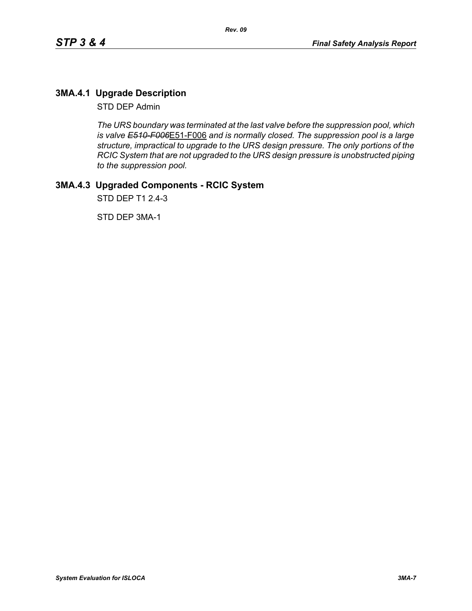# **3MA.4.1 Upgrade Description**

STD DEP Admin

*The URS boundary was terminated at the last valve before the suppression pool, which is valve E510-F006*E51-F006 *and is normally closed. The suppression pool is a large structure, impractical to upgrade to the URS design pressure. The only portions of the RCIC System that are not upgraded to the URS design pressure is unobstructed piping to the suppression pool.*

# **3MA.4.3 Upgraded Components - RCIC System**

STD DEP T1 2.4-3

STD DEP 3MA-1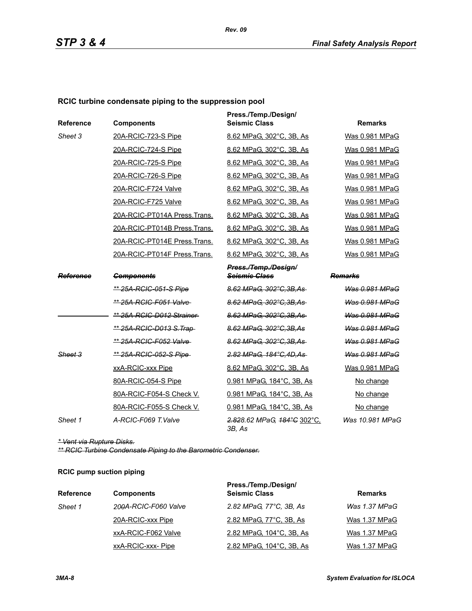### **RCIC turbine condensate piping to the suppression pool**

| Reference | <b>Components</b>               | Press./Temp./Design/<br><b>Seismic Class</b> | <b>Remarks</b>  |
|-----------|---------------------------------|----------------------------------------------|-----------------|
| Sheet 3   | 20A-RCIC-723-S Pipe             | 8.62 MPaG, 302°C, 3B, As                     | Was 0.981 MPaG  |
|           | 20A-RCIC-724-S Pipe             | 8.62 MPaG, 302°C, 3B, As                     | Was 0.981 MPaG  |
|           | 20A-RCIC-725-S Pipe             | 8.62 MPaG. 302°C. 3B. As                     | Was 0.981 MPaG  |
|           | 20A-RCIC-726-S Pipe             | 8.62 MPaG, 302°C, 3B, As                     | Was 0.981 MPaG  |
|           | 20A-RCIC-F724 Valve             | 8.62 MPaG, 302°C, 3B, As                     | Was 0.981 MPaG  |
|           | 20A-RCIC-F725 Valve             | 8.62 MPaG, 302°C, 3B, As                     | Was 0.981 MPaG  |
|           | 20A-RCIC-PT014A Press.Trans.    | 8.62 MPaG, 302°C, 3B, As                     | Was 0.981 MPaG  |
|           | 20A-RCIC-PT014B Press.Trans.    | 8.62 MPaG, 302°C, 3B, As                     | Was 0.981 MPaG  |
|           | 20A-RCIC-PT014E Press.Trans.    | 8.62 MPaG, 302°C, 3B, As                     | Was 0.981 MPaG  |
|           | 20A-RCIC-PT014F Press.Trans.    | 8.62 MPaG, 302°C, 3B, As                     | Was 0.981 MPaG  |
|           |                                 | Press./Temp./Design/                         |                 |
| Reference | <b>Components</b>               | <b>Seismic Class</b>                         | Remarks         |
|           | <u>** 25A-RCIC-051-S Pipe</u>   | 8.62 MPaG, 302°C, 3B, As                     | Was 0.981 MPaG  |
|           | ** 25A-RCIC-F051 Valve          | 8.62 MPaG, 302°C.3B.As                       | Was 0.981 MPaG  |
|           | ** 25A-RCIC-D012 Strainer       | 8.62 MPaG, 302°C, 3B, As                     | Was 0.981 MPaG  |
|           | <u>** 25A-RCIC-D013 S.Trap-</u> | 8.62 MPaG, 302°C, 3B, As                     | Was 0.981 MPaG  |
|           | ** 25A-RCIC-F052 Valve          | 8.62 MPaG, 302°C.3B.As                       | Was 0.981 MPaG  |
| Sheet 3   | ** 25A-RCIC-052-S Pipe          | 2.82 MPaG, 184°C, 4D, As                     | Was 0.981 MPaG  |
|           | xxA-RCIC-xxx Pipe               | 8.62 MPaG, 302°C, 3B, As                     | Was 0.981 MPaG  |
|           | 80A-RCIC-054-S Pipe             | 0.981 MPaG, 184°C, 3B, As                    | No change       |
|           | 80A-RCIC-F054-S Check V.        | 0.981 MPaG, 184°C, 3B, As                    | No change       |
|           | 80A-RCIC-F055-S Check V.        | 0.981 MPaG, 184°C, 3B, As                    | No change       |
| Sheet 1   | A-RCIC-F069 T. Valve            | 2.828.62 MPaG, 184°C 302°C,<br>3B, As        | Was 10.981 MPaG |

*\* Vent via Rupture Disks.*

*\*\* RCIC Turbine Condensate Piping to the Barometric Condenser.*

### **RCIC pump suction piping**

| <b>Reference</b> | <b>Components</b>    | Press./Temp./Design/<br><b>Seismic Class</b> | <b>Remarks</b> |
|------------------|----------------------|----------------------------------------------|----------------|
|                  |                      |                                              |                |
| Sheet 1          | 200A-RCIC-F060 Valve | 2.82 MPaG, 77°C, 3B, As                      | Was 1.37 MPaG  |
|                  | 20A-RCIC-xxx Pipe    | 2.82 MPaG, 77°C, 3B, As                      | Was 1.37 MPaG  |
|                  | xxA-RCIC-F062 Valve  | 2.82 MPaG, 104°C, 3B, As                     | Was 1.37 MPaG  |
|                  | xxA-RCIC-xxx-Pipe    | 2.82 MPaG, 104°C, 3B, As                     | Was 1.37 MPaG  |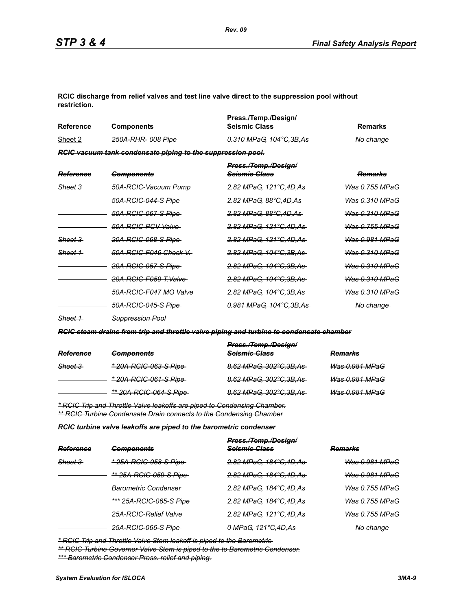**RCIC discharge from relief valves and test line valve direct to the suppression pool without restriction.**

| <b>Reference</b>   | <b>Components</b>                                           | Press./Temp./Design/<br><b>Seismic Class</b>     | <b>Remarks</b>            |
|--------------------|-------------------------------------------------------------|--------------------------------------------------|---------------------------|
| Sheet 2            | 250A-RHR-008 Pipe                                           | 0.310 MPaG, 104°C, 3B, As                        | No change                 |
|                    | RCIC vacuum tank condensate piping to the suppression pool. |                                                  |                           |
| Reference          | <b>Components</b>                                           | Press./Temp./Design/<br><del>Seismic Class</del> | <del>Remarks</del>        |
| <del>Sheet 3</del> | 50A-RCIC-Vacuum Pump-                                       | <del>2.82 MPaG. 121°C.4D.As-</del>               | <del>Was 0.755 MPaG</del> |
|                    | 50A-RCIC-044-S Pipe                                         | <del>2.82 MPaG, 88°C,4D,As-</del>                | Was 0.310 MPaG            |
|                    | <del>50A-RCIC-067-S Pipe</del> -                            | 2.82 MPaG. 88°C.4D.As                            | Was 0.310 MPaG            |
|                    | 50A-RCIC-PCV Valve                                          | <del>2.82 MPaG. 121°C.4D.As-</del>               | Was 0.755 MPaG            |
| <del>Sheet 3</del> | <del>20A-RCIC-068-S Pipe-</del>                             | <del>2.82 MPaG. 121°C.4D.As -</del>              | Was 0.981 MPaG            |
| Sheet 1            | 50A-RCIC-F046 Check V.-                                     | <del>2.82 MPaG. 104°C.3B.As-</del>               | Was 0.310 MPaG            |
|                    | 20A-RCIC-057-S Pipe-                                        | <del>2.82 MPaG, 104°C,3B,As-</del>               | <del>Was 0.310 MPaG</del> |
|                    | 20A-RCIC-F059 T.Valve-                                      | <del>2.82 MPaG, 104°C,3B,As-</del>               | Was 0.310 MPaG            |
|                    | 50A-RCIC-F047 MO Valve-                                     | <del>2.82 MPaG, 104°C,3B,As-</del>               | Was 0.310 MPaG            |

*Sheet 1 Suppression Pool*

*RCIC steam drains from trip and throttle valve piping and turbine to condensate chamber*

| Reference | <b>Components</b>             | Press./Temp./Design/<br>Seismic Class | <b>Remarks</b>        |
|-----------|-------------------------------|---------------------------------------|-----------------------|
| Sheet 3   | * 20A-RCIC-063-S Pipe         | 8.62 MPaG, 302°C, 3B, As              | Was 0.981 MPaG        |
|           | * 20A-RCIC-061-S Pipe         | 8.62 MPaG, 302°C, 3B, As              | <b>Was 0.981 MPaG</b> |
|           | <u>** 20A-RCIC-064-S Pipe</u> | 8.62 MPaG, 302°C, 3B, As              | <b>Was 0.981 MPaG</b> |

*50A-RCIC-045-S Pipe 0.981 MPaG, 104°C,3B,As No change* 

*\* RCIC Trip and Throttle Valve leakoffs are piped to Condensing Chamber. \*\* RCIC Turbine Condensate Drain connects to the Condensing Chamber*

*RCIC turbine valve leakoffs are piped to the barometric condenser*

| Reference          | <b>Components</b>               | Press./Temp./Design/<br><b>Seismic Glass</b> | <del>Remarks</del>        |
|--------------------|---------------------------------|----------------------------------------------|---------------------------|
| <del>Sheet 3</del> | <u>* 25A-RCIC-058-S Pipe-</u>   | <del>2.82 MPaG, 184°C,4D,As-</del>           | <del>Was 0.981 MPaG</del> |
|                    | <u>** 25A-RCIC-059-S Pipe </u>  | 2.82 MPaG, 184°C, 4D, As                     | <del>Was 0.981 MPaG</del> |
|                    | <del>Barometric Condenser</del> | 2.82 MPaG, 184°C.4D.As                       | <del>Was 0.755 MPaG</del> |
|                    | <u>*** 25A-RCIC-065-S Pipe-</u> | 2.82 MPaG, 184°C, 4D, As                     | <del>Was 0.755 MPaG</del> |
|                    | <b>25A-RCIC-Relief Valve</b>    | 2.82 MPaG, 121°C, 4D, As                     | <b>Was 0.755 MPaG</b>     |
|                    | 25A-RCIC-066-S Pipe-            | 0 MPaG, 121°C, 4D, As                        | No change                 |

*\* RCIC Trip and Throttle Valve Stem leakoff is piped to the Barometric* 

*\*\* RCIC Turbine Governor Valve Stem is piped to the to Barometric Condenser.*

*\*\*\* Barometric Condenser Press. relief and piping.*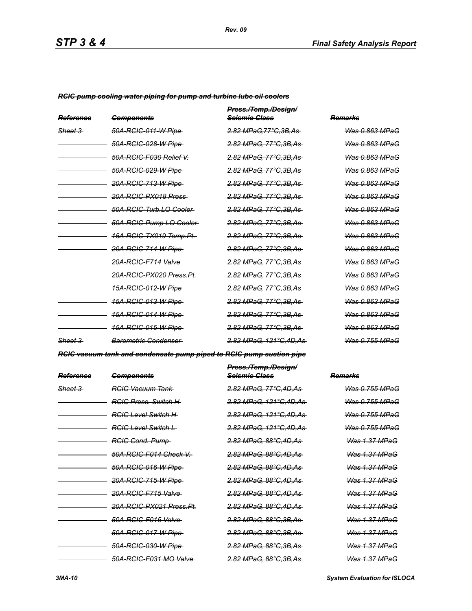*RCIC pump cooling water piping for pump and turbine lube oil coolers*

| Reference          | <b>Components</b>                  | Press./Temp./Design/<br><del>Seismie Glass</del> | Remarks                   |
|--------------------|------------------------------------|--------------------------------------------------|---------------------------|
| <del>Sheet 3</del> | 50A-RCIC-011-W Pipe-               | <del>2.82 MPaG.77°C.3B.As-</del>                 | Was 0.863 MPaG            |
|                    | <del>50A-RCIC-028-W Pipe</del>     | <del>2.82 MPaG. 77°C.3B.As-</del>                | Was 0.863 MPaG            |
|                    | 50A-RCIC-F030 Relief V.            | <del>2.82 MPaG. 77°C.3B.As-</del>                | Was 0.863 MPaG            |
|                    | 50A-RCIC-029-W Pipe                | <del>2.82 MPaG. 77°C.3B.As-</del>                | Was 0.863 MPaG            |
|                    | <del>20A-RCIC-713-W Pipe</del>     | <del>2.82 MPaG. 77°C.3B.As-</del>                | Was 0.863 MPaG            |
|                    | <del>20A-RCIC-PX018 Press</del>    | 2.82 MPaG, 77°C, 3B, As                          | Was 0.863 MPaG            |
|                    | 50A-RCIC-Turb.LO Cooler-           | <del>2.82 MPaG, 77°C,3B,As-</del>                | Was 0.863 MPaG            |
|                    | 50A-RCIC-Pump LO-Cooler-           | 2.82 MPaG, 77°C, 3B, As-                         | <del>Was 0.863 MPaG</del> |
|                    | <del>15A-RCIC-TX019 Temp.Pt.</del> | <del>2.82 MPaG. 77°C.3B.As-</del>                | Was 0.863 MPaG            |
|                    | 20A-RCIC-714-W Pipe                | <del>2.82 MPaG. 77°C.3B.As-</del>                | <del>Was 0.863 MPaG</del> |
|                    | 20A-RCIC-F714 Valve                | <del>2.82 MPaG. 77°C.3B.As-</del>                | Was 0.863 MPaG            |
|                    | 20A-RCIC-PX020 Press Pt.           | <del>2.82 MPaG. 77°C.3B.As-</del>                | Was 0.863 MPaG            |
|                    | <u>15A-RCIC-012-W Pipe-</u>        | <del>2.82 MPaG. 77°C.3B.As-</del>                | <del>Was 0.863 MPaG</del> |
|                    | <del>15A-RCIC-013-W Pipe</del>     | <del>2.82 MPaG. 77°C.3B.As-</del>                | Was 0.863 MPaG            |
|                    | <u>15A-RCIC-014-W Pipe-</u>        | <del>2.82 MPaG. 77°C.3B.As-</del>                | <del>Was 0.863 MPaG</del> |
|                    | <u>15A-RCIC-015-W Pipe-</u>        | <del>2.82 MPaG. 77°C.3B.As-</del>                | <u>Was 0.863 MPaG</u>     |
| Sheet 3            | Barometric Condenser               | <del>2.82 MPaG. 121°C.4D.As</del>                | <u> Was 0.755 MPaG</u>    |

*RCIC vacuum tank and condensate pump piped to RCIC pump suction pipe*

| Reference          | <b>Components</b>                   | Press./Temp./Design/<br><del>Seismic Class</del> | Remarks                   |
|--------------------|-------------------------------------|--------------------------------------------------|---------------------------|
| <del>Sheet 3</del> | <b>RCIC Vacuum Tank</b>             | 2.82 MPaG. 77°C.4D.As-                           | Was 0.755 MPaG            |
|                    | <b>RGIG Press. Switch H-</b>        | <del>2.82 MPaG, 121°C,4D,As</del>                | <del>Was 0.755 MPaG</del> |
|                    | <b>RGIG Level Switch H</b>          | <del>2.82 MPaG, 121°C,4D,As</del>                | Was 0.755 MPaG            |
|                    | <b>RGIG Level Switch L</b>          | 2.82 MPaG, 121°C, 4D, As-                        | <del>Was 0.755 MPaG</del> |
|                    | <b>RGIG Cond. Pump-</b>             | <del>2.82 MPaG. 88°C.4D.As-</del>                | <del>Was 1.37 MPaG</del>  |
|                    | 50A-RCIC-F014 Check V.-             | <del>2.82 MPaG, 88°C,4D,As-</del>                | Was 1.37 MPaG             |
|                    | <del>50A-RCIC-016-W Pipe</del>      | <del>2.82 MPaG. 88°C.4D.As-</del>                | <u>Was 1.37 MPaG</u>      |
|                    | 20A-RCIC-715-W Pipe                 | <del>2.82 MPaG, 88°C,4D,As-</del>                | <del>Was 1.37 MPaG</del>  |
|                    | 20A-RCIC-F715 Valve-                | <del>2.82 MPaG. 88°C.4D.As-</del>                | <del>Was 1.37 MPaG</del>  |
|                    | <del>20A-RCIC-PX021 Press.Pt.</del> | <del>2.82 MPaG. 88°C.4D.As-</del>                | <del>Was 1.37 MPaG</del>  |
|                    | 50A-RCIC-F015 Valve-                | <del>2.82 MPaG, 88°C,3B,As-</del>                | <del>Was 1.37 MPaG</del>  |
|                    | 50A-RCIC-017-W Pipe                 | 2.82 MPaG, 88°C, 3B, As-                         | <del>Was 1.37 MPaG</del>  |
|                    | <del>50A-RCIC-030-W Pipe</del>      | <del>2.82 MPaG, 88°C,3B,As-</del>                | <del>Was 1.37 MPaG</del>  |
|                    | 50A-RCIC-F031 MO Valve              | <del>2.82 MPaG. 88°C.3B.As-</del>                | Was 1.37 MPaG             |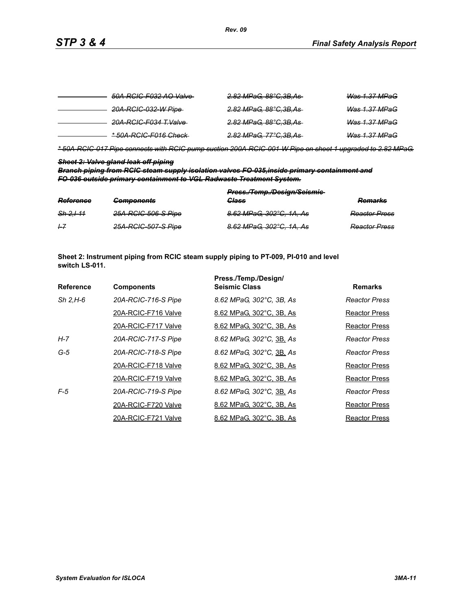| 50A-RCIC-F032 AO Valve-          | <del>2.82 MPaG, 88°C,3B,As-</del> | <b>Was 1.37 MPaG</b>     |
|----------------------------------|-----------------------------------|--------------------------|
| 20A-RGIC-032-W Pipe-             | <del>2.82 MPaG, 88°C,3B,As</del>  | <del>Was 1.37 MPaG</del> |
| <del>20A-RCIC-F034 T.Valve</del> | <del>2.82 MPaG, 88°C,3B,As</del>  | <del>Was 1.37 MPaG</del> |
| *50A-RCIC-F016 Check-            | <del>2.82 MPaG, 77°C,3B,As</del>  | <del>Was 1.37 MPaG</del> |

*\* 50A-RCIC-017 Pipe connects with RCIC pump suction 200A-RCIC-001-W Pipe on sheet 1 upgraded to 2.82 MPaG.*

### *Sheet 2: Valve gland leak off piping*

*Branch piping from RCIC steam supply isolation valves FO-035,inside primary containment and FO-036 outside primary containment to VGL Radwaste Treatment System.*

| Reference     | <b>Components</b>   | Press./Temp./Design/Seismie-<br><b>Class</b> | Domarke<br><del>numam</del> o |
|---------------|---------------------|----------------------------------------------|-------------------------------|
| $Sh 2.1 - 11$ | 25A-RCIC-506-S Pipe | 8.62 MPaG, 302°C, 1A, As                     | <b>Reactor Press</b>          |
| 1–7           | 25A-RCIC-507-S Pipe | 8.62 MPaG, 302°C, 1A, As                     | <b>Reactor Press</b>          |

**Sheet 2: Instrument piping from RCIC steam supply piping to PT-009, PI-010 and level switch LS-011.**

|                  |                     | Press./Temp./Design/     |                      |
|------------------|---------------------|--------------------------|----------------------|
| <b>Reference</b> | <b>Components</b>   | <b>Seismic Class</b>     | <b>Remarks</b>       |
| $Sh$ 2.H-6       | 20A-RCIC-716-S Pipe | 8.62 MPaG, 302°C, 3B, As | Reactor Press        |
|                  | 20A-RCIC-F716 Valve | 8.62 MPaG, 302°C, 3B, As | Reactor Press        |
|                  | 20A-RCIC-F717 Valve | 8.62 MPaG, 302°C, 3B, As | Reactor Press        |
| H-7              | 20A-RCIC-717-S Pipe | 8.62 MPaG, 302°C, 3B, As | <b>Reactor Press</b> |
| $G-5$            | 20A-RCIC-718-S Pipe | 8.62 MPaG, 302°C, 3B, As | Reactor Press        |
|                  | 20A-RCIC-F718 Valve | 8.62 MPaG, 302°C, 3B, As | Reactor Press        |
|                  | 20A-RCIC-F719 Valve | 8.62 MPaG, 302°C, 3B, As | Reactor Press        |
| $F-5$            | 20A-RCIC-719-S Pipe | 8.62 MPaG, 302°C, 3B, As | <b>Reactor Press</b> |
|                  | 20A-RCIC-F720 Valve | 8.62 MPaG, 302°C, 3B, As | <b>Reactor Press</b> |
|                  | 20A-RCIC-F721 Valve | 8.62 MPaG, 302°C, 3B, As | <b>Reactor Press</b> |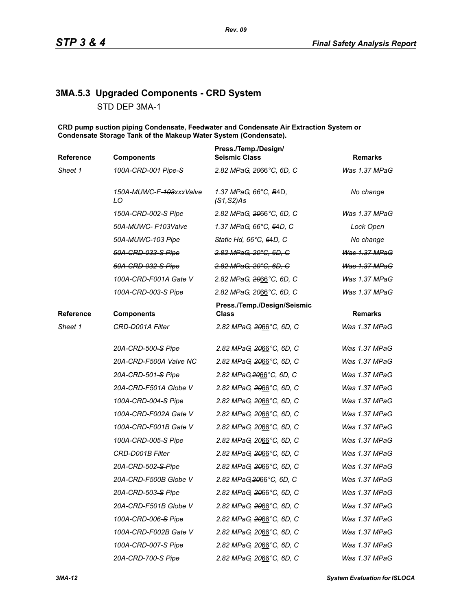# **3MA.5.3 Upgraded Components - CRD System**

STD DEP 3MA-1

**CRD pump suction piping Condensate, Feedwater and Condensate Air Extraction System or Condensate Storage Tank of the Makeup Water System (Condensate).**

| Reference | <b>Components</b>             | Press./Temp./Design/<br><b>Seismic Class</b>   | <b>Remarks</b>       |
|-----------|-------------------------------|------------------------------------------------|----------------------|
| Sheet 1   | 100A-CRD-001 Pipe-S           | 2.82 MPaG, 2066°C, 6D, C                       | Was 1.37 MPaG        |
|           | 150A-MUWC-F-103xxxValve<br>LO | 1.37 MPaG, 66°C, B4D,<br><del>(S1,S2)</del> As | No change            |
|           | 150A-CRD-002-S Pipe           | 2.82 MPaG, 2066°C, 6D, C                       | Was 1.37 MPaG        |
|           | 50A-MUWC- F103Valve           | 1.37 MPaG, 66°C, 64D, C                        | Lock Open            |
|           | 50A-MUWC-103 Pipe             | Static Hd, 66°C, 64D, C                        | No change            |
|           | 50A-CRD-033-S Pipe            | 2.82 MPaG, 20°C, 6D, C                         | Was 1.37 MPaG        |
|           | 50A-CRD-032-S Pipe            | 2.82 MPaG, 20°C, 6D, C                         | <b>Was 1.37 MPaG</b> |
|           | 100A-CRD-F001A Gate V         | 2.82 MPaG, 2066°C, 6D, C                       | Was 1.37 MPaG        |
|           | 100A-CRD-003-S Pipe           | 2.82 MPaG, 2066°C, 6D, C                       | Was 1.37 MPaG        |
| Reference | <b>Components</b>             | Press./Temp./Design/Seismic<br><b>Class</b>    | <b>Remarks</b>       |
| Sheet 1   | CRD-D001A Filter              | 2.82 MPaG, 2066°C, 6D, C                       | Was 1.37 MPaG        |
|           | 20A-CRD-500-S Pipe            | 2.82 MPaG, 2066°C, 6D, C                       | Was 1.37 MPaG        |
|           | 20A-CRD-F500A Valve NC        | 2.82 MPaG, 2066°C, 6D, C                       | Was 1.37 MPaG        |
|           | 20A-CRD-501-S Pipe            | 2.82 MPaG, 2066°C, 6D, C                       | Was 1.37 MPaG        |
|           | 20A-CRD-F501A Globe V         | 2.82 MPaG, 2066°C, 6D, C                       | Was 1.37 MPaG        |
|           | 100A-CRD-004-S Pipe           | 2.82 MPaG, 2066°C, 6D, C                       | Was 1.37 MPaG        |
|           | 100A-CRD-F002A Gate V         | 2.82 MPaG, 2066°C, 6D, C                       | Was 1.37 MPaG        |
|           | 100A-CRD-F001B Gate V         | 2.82 MPaG, 2066°C, 6D, C                       | Was 1.37 MPaG        |
|           | 100A-CRD-005-S Pipe           | 2.82 MPaG, 2066°C, 6D, C                       | Was 1.37 MPaG        |
|           | CRD-D001B Filter              | 2.82 MPaG, 2066°C, 6D, C                       | Was 1.37 MPaG        |
|           | 20A-CRD-502-S-Pipe            | 2.82 MPaG, 2066°C, 6D, C                       | Was 1.37 MPaG        |
|           | 20A-CRD-F500B Globe V         | 2.82 MPaG, 2066°C, 6D, C                       | Was 1.37 MPaG        |
|           | 20A-CRD-503-S Pipe            | 2.82 MPaG, 2066°C, 6D, C                       | Was 1.37 MPaG        |
|           | 20A-CRD-F501B Globe V         | 2.82 MPaG, 2066°C, 6D, C                       | Was 1.37 MPaG        |
|           | 100A-CRD-006-S Pipe           | 2.82 MPaG, 2066°C, 6D, C                       | Was 1.37 MPaG        |
|           | 100A-CRD-F002B Gate V         | 2.82 MPaG, 2066°C, 6D, C                       | Was 1.37 MPaG        |
|           | 100A-CRD-007-S Pipe           | 2.82 MPaG, 2066°C, 6D, C                       | Was 1.37 MPaG        |
|           | 20A-CRD-700-S Pipe            | 2.82 MPaG, 2066°C, 6D, C                       | Was 1.37 MPaG        |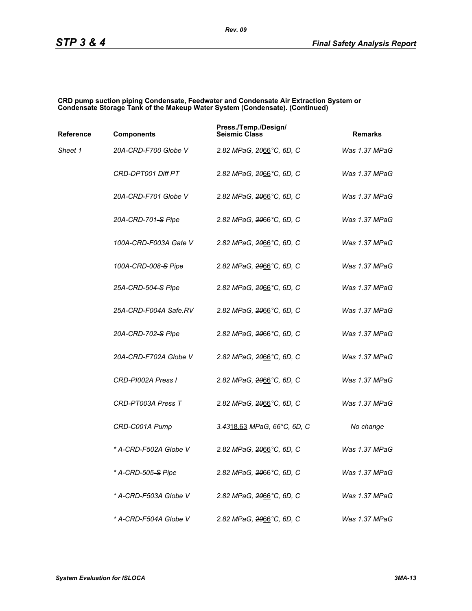#### **CRD pump suction piping Condensate, Feedwater and Condensate Air Extraction System or Condensate Storage Tank of the Makeup Water System (Condensate). (Continued)**

| Reference | <b>Components</b>              | Press./Temp./Design/<br><b>Seismic Class</b> | <b>Remarks</b> |
|-----------|--------------------------------|----------------------------------------------|----------------|
| Sheet 1   | 20A-CRD-F700 Globe V           | 2.82 MPaG, 2066°C, 6D, C                     | Was 1.37 MPaG  |
|           | CRD-DPT001 Diff PT             | 2.82 MPaG, 2066°C, 6D, C                     | Was 1.37 MPaG  |
|           | 20A-CRD-F701 Globe V           | 2.82 MPaG, <del>20</del> 66°C, 6D, C         | Was 1.37 MPaG  |
|           | 20A-CRD-701-S Pipe             | 2.82 MPaG, 2066°C, 6D, C                     | Was 1.37 MPaG  |
|           | 100A-CRD-F003A Gate V          | 2.82 MPaG, 2066°C, 6D, C                     | Was 1.37 MPaG  |
|           | 100A-CRD-008-S Pipe            | 2.82 MPaG, 2066°C, 6D, C                     | Was 1.37 MPaG  |
|           | 25A-CRD-504-S Pipe             | 2.82 MPaG, 2066°C, 6D, C                     | Was 1.37 MPaG  |
|           | 25A-CRD-F004A Safe.RV          | 2.82 MPaG, <del>20</del> 66°C, 6D, C         | Was 1.37 MPaG  |
|           | 20A-CRD-702-S Pipe             | 2.82 MPaG, 2066°C, 6D, C                     | Was 1.37 MPaG  |
|           | 20A-CRD-F702A Globe V          | 2.82 MPaG, 2066°C, 6D, C                     | Was 1.37 MPaG  |
|           | CRD-PI002A Press I             | 2.82 MPaG, <del>20</del> 66°C, 6D, C         | Was 1.37 MPaG  |
|           | CRD-PT003A Press T             | 2.82 MPaG, 2066°C, 6D, C                     | Was 1.37 MPaG  |
|           | CRD-C001A Pump                 | 3.4318.63 MPaG, 66°C, 6D, C                  | No change      |
|           | * A-CRD-F502A Globe V          | 2.82 MPaG, 2066°C, 6D, C                     | Was 1.37 MPaG  |
|           | * A-CRD-505 <del>-S</del> Pipe | 2.82 MPaG, 2066°C, 6D, C                     | Was 1.37 MPaG  |
|           | * A-CRD-F503A Globe V          | 2.82 MPaG, 2066°C, 6D, C                     | Was 1.37 MPaG  |
|           | * A-CRD-F504A Globe V          | 2.82 MPaG, 2066°C, 6D, C                     | Was 1.37 MPaG  |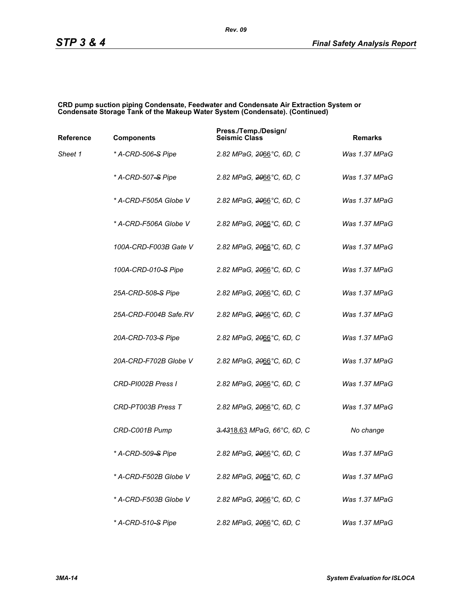#### **CRD pump suction piping Condensate, Feedwater and Condensate Air Extraction System or Condensate Storage Tank of the Makeup Water System (Condensate). (Continued)**

| Reference | <b>Components</b>              | Press./Temp./Design/<br><b>Seismic Class</b> | <b>Remarks</b> |
|-----------|--------------------------------|----------------------------------------------|----------------|
| Sheet 1   | * A-CRD-506-S Pipe             | 2.82 MPaG, <del>20</del> 66°C, 6D, C         | Was 1.37 MPaG  |
|           | * A-CRD-507 <del>-S</del> Pipe | 2.82 MPaG, 2066°C, 6D, C                     | Was 1.37 MPaG  |
|           | * A-CRD-F505A Globe V          | 2.82 MPaG, 2066°C, 6D, C                     | Was 1.37 MPaG  |
|           | * A-CRD-F506A Globe V          | 2.82 MPaG, 2066°C, 6D, C                     | Was 1.37 MPaG  |
|           | 100A-CRD-F003B Gate V          | 2.82 MPaG, 2066°C, 6D, C                     | Was 1.37 MPaG  |
|           | 100A-CRD-010-S Pipe            | 2.82 MPaG, <del>20</del> 66°C, 6D, C         | Was 1.37 MPaG  |
|           | 25A-CRD-508–S Pipe             | 2.82 MPaG, 2066°C, 6D, C                     | Was 1.37 MPaG  |
|           | 25A-CRD-F004B Safe.RV          | 2.82 MPaG, 2066°C, 6D, C                     | Was 1.37 MPaG  |
|           | 20A-CRD-703-S Pipe             | 2.82 MPaG, <del>20</del> 66°C, 6D, C         | Was 1.37 MPaG  |
|           | 20A-CRD-F702B Globe V          | 2.82 MPaG, <del>20</del> 66°C, 6D, C         | Was 1.37 MPaG  |
|           | CRD-PI002B Press I             | 2.82 MPaG, 2066°C, 6D, C                     | Was 1.37 MPaG  |
|           | CRD-PT003B Press T             | 2.82 MPaG, 2066°C, 6D, C                     | Was 1.37 MPaG  |
|           | CRD-C001B Pump                 | 3.4318.63 MPaG, 66°C, 6D, C                  | No change      |
|           | * A-CRD-509-S Pipe             | 2.82 MPaG, 2066°C, 6D, C                     | Was 1.37 MPaG  |
|           | * A-CRD-F502B Globe V          | 2.82 MPaG, 2066°C, 6D, C                     | Was 1.37 MPaG  |
|           | * A-CRD-F503B Globe V          | 2.82 MPaG, 2066°C, 6D, C                     | Was 1.37 MPaG  |
|           | * A-CRD-510 <del>-S</del> Pipe | 2.82 MPaG, 2066°C, 6D, C                     | Was 1.37 MPaG  |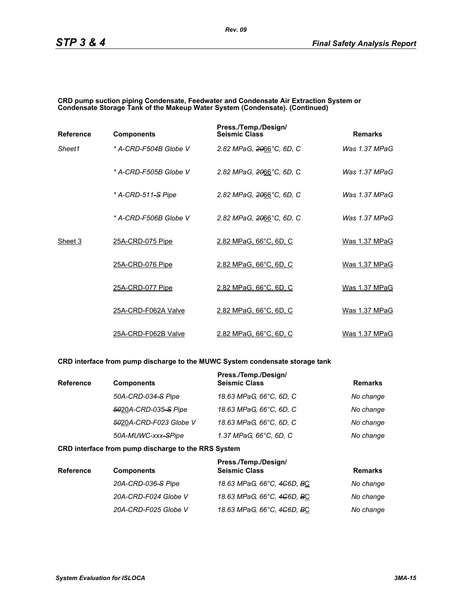#### **CRD pump suction piping Condensate, Feedwater and Condensate Air Extraction System or Condensate Storage Tank of the Makeup Water System (Condensate). (Continued)**

| <b>Reference</b> | <b>Components</b>     | Press./Temp./Design/<br><b>Seismic Class</b> | <b>Remarks</b>  |
|------------------|-----------------------|----------------------------------------------|-----------------|
| Sheet1           | * A-CRD-F504B Globe V | 2.82 MPaG, 2066°C, 6D, C                     | Was $1.37$ MPaG |
|                  | * A-CRD-F505B Globe V | 2.82 MPaG, 2066°C, 6D, C                     | Was 1.37 MPaG   |
|                  | * A-CRD-511-S Pipe    | 2.82 MPaG, 2066°C, 6D, C                     | Was $1.37$ MPaG |
|                  | * A-CRD-F506B Globe V | 2.82 MPaG, 2066°C, 6D, C                     | Was 1.37 MPaG   |
| Sheet 3          | 25A-CRD-075 Pipe      | 2.82 MPaG, 66°C, 6D, C                       | Was 1.37 MPaG   |
|                  | 25A-CRD-076 Pipe      | 2.82 MPaG, 66°C, 6D, C                       | Was 1.37 MPaG   |
|                  | 25A-CRD-077 Pipe      | 2.82 MPaG, 66°C, 6D, C                       | Was 1.37 MPaG   |
|                  | 25A-CRD-F062A Valve   | 2.82 MPaG, 66°C, 6D, C                       | Was 1.37 MPaG   |
|                  | 25A-CRD-F062B Valve   | 2.82 MPaG, 66°C, 6D, C                       | Was 1.37 MPaG   |

### **CRD interface from pump discharge to the MUWC System condensate storage tank**

| <b>Reference</b> | <b>Components</b>      | Press./Temp./Design/<br><b>Seismic Class</b> | <b>Remarks</b> |
|------------------|------------------------|----------------------------------------------|----------------|
|                  | 50A-CRD-034-S Pipe     | 18.63 MPaG, 66°C, 6D, C                      | No change      |
|                  | 5020A-CRD-035-S Pipe   | 18.63 MPaG, 66°C, 6D, C                      | No change      |
|                  | 5020A-CRD-F023 Globe V | 18.63 MPaG, 66°C, 6D, C                      | No change      |
|                  | 50A-MUWC-xxx-SPipe     | 1.37 MPaG, 66°C, 6D, C                       | No change      |

#### **CRD interface from pump discharge to the RRS System**

| <b>Reference</b> | <b>Components</b>    | Press./Temp./Design/<br><b>Seismic Class</b> | <b>Remarks</b> |
|------------------|----------------------|----------------------------------------------|----------------|
|                  | 20A-CRD-036-S Pipe   | 18.63 MPaG, 66°C, 4 <del>C</del> 6D, BC      | No change      |
|                  | 20A-CRD-F024 Globe V | 18.63 MPaG, 66°C, 4 <del>C</del> 6D, BC      | No change      |
|                  | 20A-CRD-F025 Globe V | 18.63 MPaG, 66°C, 4 <del>C</del> 6D, BC      | No change      |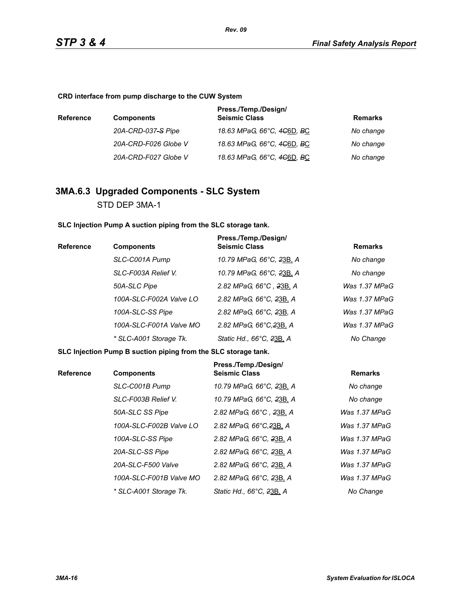**CRD interface from pump discharge to the CUW System**

| <b>Reference</b> | <b>Components</b>    | Press./Temp./Design/<br><b>Seismic Class</b>        | Remarks   |
|------------------|----------------------|-----------------------------------------------------|-----------|
|                  | 20A-CRD-037-S Pipe   | 18.63 MPaG, 66°C, 4 <del>C</del> 6D, <del>B</del> C | No change |
|                  | 20A-CRD-F026 Globe V | 18.63 MPaG, 66°C, 4 <del>C</del> 6D, <del>B</del> C | No change |
|                  | 20A-CRD-F027 Globe V | 18.63 MPaG, 66°C, 4 <del>C</del> 6D, <del>B</del> C | No change |

# **3MA.6.3 Upgraded Components - SLC System** STD DEP 3MA-1

**SLC Injection Pump A suction piping from the SLC storage tank.**

| Reference | <b>Components</b>       | Press./Temp./Design/<br><b>Seismic Class</b> | <b>Remarks</b> |
|-----------|-------------------------|----------------------------------------------|----------------|
|           | SLC-C001A Pump          | 10.79 MPaG, 66°C, 23B, A                     | No change      |
|           | SLC-F003A Relief V.     | 10.79 MPaG, 66°C, 23B, A                     | No change      |
|           | 50A-SLC Pipe            | 2.82 MPaG, 66°C, 23B, A                      | Was 1.37 MPaG  |
|           | 100A-SLC-F002A Valve LO | 2.82 MPaG, 66°C, 23B, A                      | Was 1.37 MPaG  |
|           | 100A-SLC-SS Pipe        | 2.82 MPaG, 66°C, 23B, A                      | Was 1.37 MPaG  |
|           | 100A-SLC-F001A Valve MO | 2.82 MPaG, 66°C, 23B, A                      | Was 1.37 MPaG  |
|           | * SLC-A001 Storage Tk.  | Static Hd., 66°C, 23B, A                     | No Change      |

**SLC Injection Pump B suction piping from the SLC storage tank.**

| <b>Reference</b> | <b>Components</b>       | Press./Temp./Design/<br><b>Seismic Class</b> | <b>Remarks</b>  |
|------------------|-------------------------|----------------------------------------------|-----------------|
|                  | SLC-C001B Pump          | 10.79 MPaG, 66°C, 23B, A                     | No change       |
|                  | SLC-F003B Relief V.     | 10.79 MPaG, 66°C, 23B, A                     | No change       |
|                  | 50A-SLC SS Pipe         | 2.82 MPaG, 66°C, 23B, A                      | Was 1.37 MPaG   |
|                  | 100A-SLC-F002B Valve LO | 2.82 MPaG, 66°C, 23B, A                      | Was $1.37$ MPaG |
|                  | 100A-SLC-SS Pipe        | 2.82 MPaG, 66°C, 23B, A                      | Was 1.37 MPaG   |
|                  | 20A-SLC-SS Pipe         | 2.82 MPaG, 66°C, 23B, A                      | Was 1.37 MPaG   |
|                  | 20A-SLC-F500 Valve      | 2.82 MPaG, 66°C, 23B, A                      | Was 1.37 MPaG   |
|                  | 100A-SLC-F001B Valve MO | 2.82 MPaG, 66°C, 23B, A                      | Was 1.37 MPaG   |
|                  | * SLC-A001 Storage Tk.  | Static Hd., 66°C, 23B, A                     | No Change       |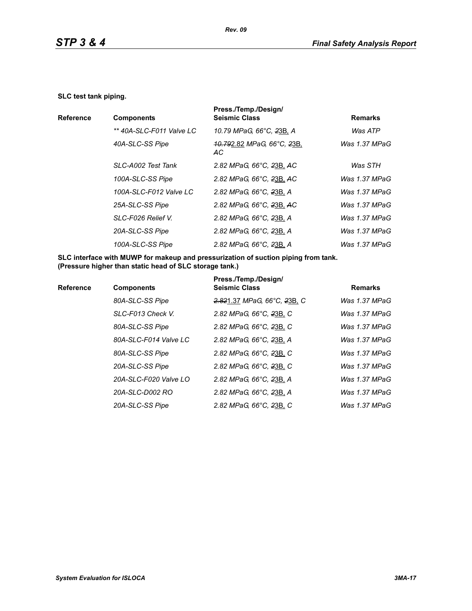#### **SLC test tank piping.**

|                  |                          | Press./Temp./Design/                                      |                |
|------------------|--------------------------|-----------------------------------------------------------|----------------|
| <b>Reference</b> | <b>Components</b>        | <b>Seismic Class</b>                                      | <b>Remarks</b> |
|                  | ** 40A-SLC-F011 Valve LC | 10.79 MPaG, 66°C, 23B, A                                  | Was ATP        |
|                  | 40A-SLC-SS Pipe          | <del>10.79</del> 2.82 MPaG, 66°C, <del>2</del> 3B,<br>AC. | Was 1.37 MPaG  |
|                  | SLC-A002 Test Tank       | 2.82 MPaG, 66°C, 23B, AC                                  | Was STH        |
|                  | 100A-SLC-SS Pipe         | 2.82 MPaG, 66°C, 23B, AC                                  | Was 1.37 MPaG  |
|                  | 100A-SLC-F012 Valve LC   | 2.82 MPaG, 66°C, 23B, A                                   | Was 1.37 MPaG  |
|                  | 25A-SLC-SS Pipe          | 2.82 MPaG, 66°C, 23B, AC                                  | Was 1.37 MPaG  |
|                  | SLC-F026 Relief V.       | 2.82 MPaG, 66°C, 23B, A                                   | Was 1.37 MPaG  |
|                  | 20A-SLC-SS Pipe          | 2.82 MPaG, 66°C, 23B, A                                   | Was 1.37 MPaG  |
|                  | 100A-SLC-SS Pipe         | 2.82 MPaG, 66°C, 23B, A                                   | Was 1.37 MPaG  |
|                  |                          |                                                           |                |

**SLC interface with MUWP for makeup and pressurization of suction piping from tank. (Pressure higher than static head of SLC storage tank.)**

| <b>Reference</b> | <b>Components</b>     | Press./Temp./Design/<br><b>Seismic Class</b> | <b>Remarks</b> |
|------------------|-----------------------|----------------------------------------------|----------------|
|                  | 80A-SLC-SS Pipe       | 2.821.37 MPaG, 66°C, 23B, C                  | Was 1.37 MPaG  |
|                  | SLC-F013 Check V.     | 2.82 MPaG, 66°C, 23B, C                      | Was 1.37 MPaG  |
|                  | 80A-SLC-SS Pipe       | 2.82 MPaG, 66°C, 23B, C                      | Was 1.37 MPaG  |
|                  | 80A-SLC-F014 Valve LC | 2.82 MPaG, 66°C, 23B, A                      | Was 1.37 MPaG  |
|                  | 80A-SLC-SS Pipe       | 2.82 MPaG, 66°C, 23B, C                      | Was 1.37 MPaG  |
|                  | 20A-SLC-SS Pipe       | 2.82 MPaG, 66°C, 23B, C                      | Was 1.37 MPaG  |
|                  | 20A-SLC-F020 Valve LO | 2.82 MPaG, 66°C, 23B, A                      | Was 1.37 MPaG  |
|                  | 20A-SLC-D002 RO       | 2.82 MPaG, 66°C, 23B, A                      | Was 1.37 MPaG  |
|                  | 20A-SLC-SS Pipe       | 2.82 MPaG, 66°C, 23B, C                      | Was 1.37 MPaG  |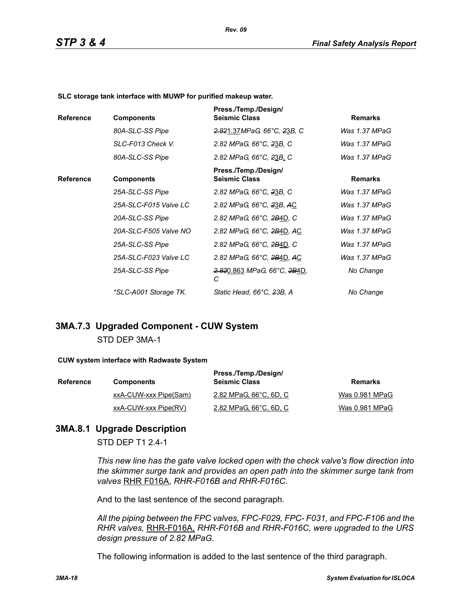**SLC storage tank interface with MUWP for purified makeup water.**

| <b>Reference</b> | <b>Components</b>     | Press./Temp./Design/<br><b>Seismic Class</b>             | <b>Remarks</b> |
|------------------|-----------------------|----------------------------------------------------------|----------------|
|                  | 80A-SLC-SS Pipe       | 2.821.37MPaG, 66°C, 23B, C                               | Was 1.37 MPaG  |
|                  | SLC-F013 Check V.     | 2.82 MPaG, 66°C, 23B, C                                  | Was 1.37 MPaG  |
|                  | 80A-SLC-SS Pipe       | 2.82 MPaG, 66°C, 23B, C                                  | Was 1.37 MPaG  |
| <b>Reference</b> | <b>Components</b>     | Press./Temp./Design/<br><b>Seismic Class</b>             | <b>Remarks</b> |
|                  | 25A-SLC-SS Pipe       | 2.82 MPaG, 66°C, 23B, C                                  | Was 1.37 MPaG  |
|                  | 25A-SLC-F015 Valve LC | 2.82 MPaG, 66°C, 23B, AC                                 | Was 1.37 MPaG  |
|                  | 20A-SLC-SS Pipe       | 2.82 MPaG, 66°C, 2B4D, C                                 | Was 1.37 MPaG  |
|                  | 20A-SLC-F505 Valve NO | 2.82 MPaG, 66°C, 2B4D, AC                                | Was 1.37 MPaG  |
|                  | 25A-SLC-SS Pipe       | 2.82 MPaG, 66°C, 2B4D, C                                 | Was 1.37 MPaG  |
|                  | 25A-SLC-F023 Valve LC | 2.82 MPaG, 66°C, 2B4D, AC                                | Was 1.37 MPaG  |
|                  | 25A-SLC-SS Pipe       | <del>2.82</del> 0.863 MPaG, 66°C, <del>2B</del> 4D,<br>С | No Change      |
|                  | *SLC-A001 Storage TK. | Static Head, 66°C, 23B, A                                | No Change      |

## **3MA.7.3 Upgraded Component - CUW System** STD DEP 3MA-1

#### **CUW system interface with Radwaste System**

| <b>Reference</b> | <b>Components</b>     | Press./Temp./Design/<br><b>Seismic Class</b> | Remarks        |
|------------------|-----------------------|----------------------------------------------|----------------|
|                  | xxA-CUW-xxx Pipe(Sam) | 2.82 MPaG, 66°C, 6D, C                       | Was 0.981 MPaG |
|                  | xxA-CUW-xxx Pipe(RV)  | 2.82 MPaG, 66°C, 6D, C                       | Was 0.981 MPaG |

### **3MA.8.1 Upgrade Description**

STD DEP T1 2.4-1

*This new line has the gate valve locked open with the check valve's flow direction into the skimmer surge tank and provides an open path into the skimmer surge tank from valves* RHR F016A, *RHR-F016B and RHR-F016C.*

And to the last sentence of the second paragraph.

*All the piping between the FPC valves, FPC-F029, FPC- F031, and FPC-F106 and the RHR valves,* RHR-F016A, *RHR-F016B and RHR-F016C, were upgraded to the URS design pressure of 2.82 MPaG.*

The following information is added to the last sentence of the third paragraph.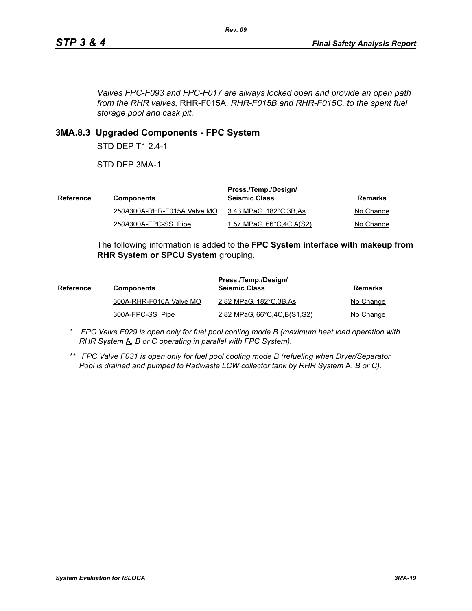*Valves FPC-F093 and FPC-F017 are always locked open and provide an open path from the RHR valves,* RHR-F015A, *RHR-F015B and RHR-F015C, to the spent fuel storage pool and cask pit.*

## **3MA.8.3 Upgraded Components - FPC System**

STD DEP T1 2.4-1

STD DEP 3MA-1

| Reference | <b>Components</b>           | Press./Temp./Design/<br><b>Seismic Class</b> | Remarks   |
|-----------|-----------------------------|----------------------------------------------|-----------|
|           | 250A300A-RHR-F015A Valve MO | 3.43 MPaG, 182°C,3B,As                       | No Change |
|           | 250A300A-FPC-SS Pipe        | 1.57 MPaG, 66°C, 4C, A(S2)                   | No Change |

The following information is added to the **FPC System interface with makeup from RHR System or SPCU System** grouping.

| <b>Reference</b> | <b>Components</b>       | Press./Temp./Design/<br><b>Seismic Class</b> | Remarks   |
|------------------|-------------------------|----------------------------------------------|-----------|
|                  | 300A-RHR-F016A Valve MO | 2.82 MPaG, 182°C, 3B, As                     | No Change |
|                  | 300A-FPC-SS Pipe        | 2.82 MPaG, 66°C, 4C, B(S1, S2)               | No Change |

- *\* FPC Valve F029 is open only for fuel pool cooling mode B (maximum heat load operation with RHR System*  $\underline{A}$ *, B or C operating in parallel with FPC System).*
- *\*\* FPC Valve F031 is open only for fuel pool cooling mode B (refueling when Dryer/Separator Pool is drained and pumped to Radwaste LCW collector tank by RHR System* A, *B or C).*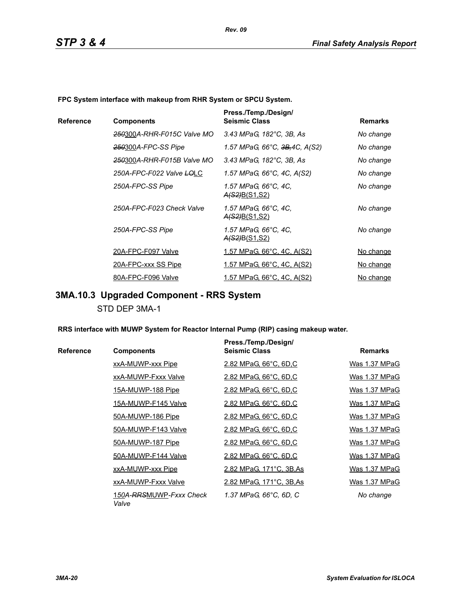**FPC System interface with makeup from RHR System or SPCU System.**

|           |                            | Press./Temp./Design/                         |                |
|-----------|----------------------------|----------------------------------------------|----------------|
| Reference | <b>Components</b>          | <b>Seismic Class</b>                         | <b>Remarks</b> |
|           | 250300A-RHR-F015C Valve MO | 3.43 MPaG, 182°C, 3B, As                     | No change      |
|           | 250300A-FPC-SS Pipe        | 1.57 MPaG, 66°C, <del>3B,</del> 4C, A(S2)    | No change      |
|           | 250300A-RHR-F015B Valve MO | 3.43 MPaG, 182°C, 3B, As                     | No change      |
|           | 250A-FPC-F022 Valve LOLC   | 1.57 MPaG, 66°C, 4C, A(S2)                   | No change      |
|           | 250A-FPC-SS Pipe           | 1.57 MPaG, 66°C, 4C,<br><u>A(S2)B(S1,S2)</u> | No change      |
|           | 250A-FPC-F023 Check Valve  | 1.57 MPaG, 66°C, 4C,<br><u>A(S2)B(S1,S2)</u> | No change      |
|           | 250A-FPC-SS Pipe           | 1.57 MPaG, 66°C, 4C,<br><u>A(S2)B(S1,S2)</u> | No change      |
|           | 20A-FPC-F097 Valve         | <u>1.57 MPaG, 66°C, 4C, A(S2)</u>            | No change      |
|           | 20A-FPC-xxx SS Pipe        | <u>1.57 MPaG, 66°C, 4C, A(S2)</u>            | No change      |
|           | 80A-FPC-F096 Valve         | 1.57 MPaG, 66°C, 4C, A(S2)                   | No change      |

# **3MA.10.3 Upgraded Component - RRS System**

STD DEP 3MA-1

**RRS interface with MUWP System for Reactor Internal Pump (RIP) casing makeup water.**

|           |                                  | Press./Temp./Design/     |                |
|-----------|----------------------------------|--------------------------|----------------|
| Reference | <b>Components</b>                | <b>Seismic Class</b>     | <b>Remarks</b> |
|           | xxA-MUWP-xxx Pipe                | 2.82 MPaG, 66°C, 6D,C    | Was 1.37 MPaG  |
|           | xxA-MUWP-Fxxx Valve              | 2.82 MPaG, 66°C, 6D,C    | Was 1.37 MPaG  |
|           | 15A-MUWP-188 Pipe                | 2.82 MPaG, 66°C, 6D,C    | Was 1.37 MPaG  |
|           | 15A-MUWP-F145 Valve              | 2.82 MPaG, 66°C, 6D,C    | Was 1.37 MPaG  |
|           | 50A-MUWP-186 Pipe                | 2.82 MPaG, 66°C, 6D,C    | Was 1.37 MPaG  |
|           | 50A-MUWP-F143 Valve              | 2.82 MPaG, 66°C, 6D,C    | Was 1.37 MPaG  |
|           | 50A-MUWP-187 Pipe                | 2.82 MPaG, 66°C, 6D,C    | Was 1.37 MPaG  |
|           | 50A-MUWP-F144 Valve              | 2.82 MPaG, 66°C, 6D,C    | Was 1.37 MPaG  |
|           | xxA-MUWP-xxx Pipe                | 2.82 MPaG, 171°C, 3B, As | Was 1.37 MPaG  |
|           | xxA-MUWP-Fxxx Valve              | 2.82 MPaG, 171°C, 3B, As | Was 1.37 MPaG  |
|           | 150A-RRSMUWP-Fxxx Check<br>Valve | 1.37 MPaG, 66°C, 6D, C   | No change      |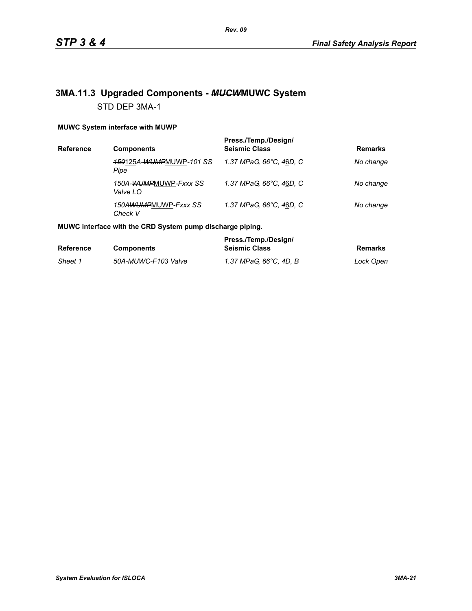# **3MA.11.3 Upgraded Components -** *MUCW***MUWC System** STD DEP 3MA-1

### **MUWC System interface with MUWP**

| Reference | <b>Components</b>                 | Press./Temp./Design/<br><b>Seismic Class</b> | <b>Remarks</b> |
|-----------|-----------------------------------|----------------------------------------------|----------------|
|           | 150125A-WUMPMUWP-101 SS<br>Pipe   | 1.37 MPaG, 66°C, 46D, C                      | No change      |
|           | 150A-WUMPMUWP-Fxxx SS<br>Valve LO | 1.37 MPaG, 66°C, 46D, C                      | No change      |
|           | 150AWUMPMUWP-Fxxx SS<br>Check V   | 1.37 MPaG, 66°C, 46D, C                      | No change      |

### **MUWC interface with the CRD System pump discharge piping.**

|                  |                     | Press./Temp./Design/   |           |
|------------------|---------------------|------------------------|-----------|
| <b>Reference</b> | <b>Components</b>   | <b>Seismic Class</b>   | Remarks   |
| Sheet 1          | 50A-MUWC-F103 Valve | 1.37 MPaG. 66°C. 4D. B | Lock Open |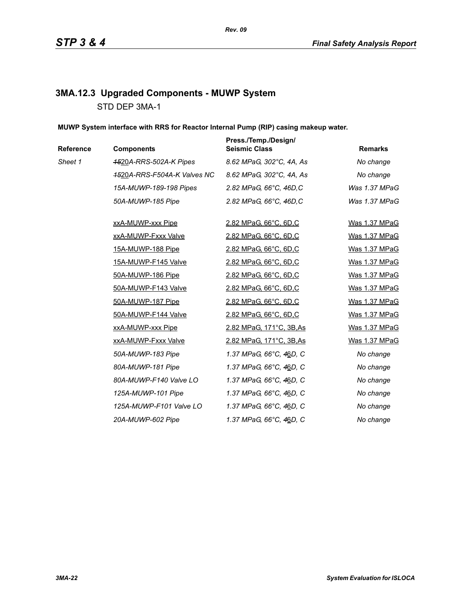# **3MA.12.3 Upgraded Components - MUWP System** STD DEP 3MA-1

**MUWP System interface with RRS for Reactor Internal Pump (RIP) casing makeup water.**

| Reference | <b>Components</b>           | Press./Temp./Design/<br><b>Seismic Class</b> | <b>Remarks</b> |
|-----------|-----------------------------|----------------------------------------------|----------------|
| Sheet 1   | 4520A-RRS-502A-K Pipes      | 8.62 MPaG, 302°C, 4A, As                     | No change      |
|           | 4520A-RRS-F504A-K Valves NC | 8.62 MPaG, 302°C, 4A, As                     | No change      |
|           | 15A-MUWP-189-198 Pipes      | 2.82 MPaG, 66°C, 46D, C                      | Was 1.37 MPaG  |
|           | 50A-MUWP-185 Pipe           | 2.82 MPaG, 66°C, 46D, C                      | Was 1.37 MPaG  |
|           | xxA-MUWP-xxx Pipe           | 2.82 MPaG, 66°C, 6D,C                        | Was 1.37 MPaG  |
|           | xxA-MUWP-Fxxx Valve         | 2.82 MPaG, 66°C, 6D,C                        | Was 1.37 MPaG  |
|           | 15A-MUWP-188 Pipe           | 2.82 MPaG, 66°C, 6D,C                        | Was 1.37 MPaG  |
|           | 15A-MUWP-F145 Valve         | 2.82 MPaG, 66°C, 6D,C                        | Was 1.37 MPaG  |
|           | 50A-MUWP-186 Pipe           | 2.82 MPaG, 66°C, 6D,C                        | Was 1.37 MPaG  |
|           | 50A-MUWP-F143 Valve         | 2.82 MPaG, 66°C, 6D,C                        | Was 1.37 MPaG  |
|           | 50A-MUWP-187 Pipe           | 2.82 MPaG, 66°C, 6D,C                        | Was 1.37 MPaG  |
|           | 50A-MUWP-F144 Valve         | 2.82 MPaG, 66°C, 6D,C                        | Was 1.37 MPaG  |
|           | xxA-MUWP-xxx Pipe           | 2.82 MPaG, 171°C, 3B, As                     | Was 1.37 MPaG  |
|           | xxA-MUWP-Fxxx Valve         | 2.82 MPaG, 171°C, 3B, As                     | Was 1.37 MPaG  |
|           | 50A-MUWP-183 Pipe           | 1.37 MPaG, 66°C, 46D, C                      | No change      |
|           | 80A-MUWP-181 Pipe           | 1.37 MPaG, 66°C, 46D, C                      | No change      |
|           | 80A-MUWP-F140 Valve LO      | 1.37 MPaG, 66°C, 46D, C                      | No change      |
|           | 125A-MUWP-101 Pipe          | 1.37 MPaG, 66°C, 46D, C                      | No change      |
|           | 125A-MUWP-F101 Valve LO     | 1.37 MPaG, 66°C, 46D, C                      | No change      |
|           | 20A-MUWP-602 Pipe           | 1.37 MPaG, 66°C, 46D, C                      | No change      |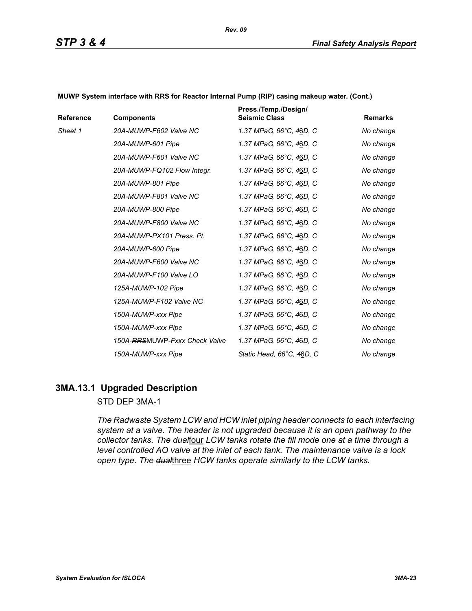| Reference | <b>Components</b>             | Press./Temp./Design/<br><b>Seismic Class</b> | <b>Remarks</b> |
|-----------|-------------------------------|----------------------------------------------|----------------|
| Sheet 1   | 20A-MUWP-F602 Valve NC        | 1.37 MPaG, 66°C, 46D, C                      | No change      |
|           | 20A-MUWP-601 Pipe             | 1.37 MPaG, 66°C, 46D, C                      | No change      |
|           | 20A-MUWP-F601 Valve NC        | 1.37 MPaG, 66°C, 46D, C                      | No change      |
|           | 20A-MUWP-FQ102 Flow Integr.   | 1.37 MPaG, 66°C, 46D, C                      | No change      |
|           | 20A-MUWP-801 Pipe             | 1.37 MPaG, 66°C, 46D, C                      | No change      |
|           | 20A-MUWP-F801 Valve NC        | 1.37 MPaG, 66°C, 46D, C                      | No change      |
|           | 20A-MUWP-800 Pipe             | 1.37 MPaG, 66°C, 46D, C                      | No change      |
|           | 20A-MUWP-F800 Valve NC        | 1.37 MPaG, 66°C, 46D, C                      | No change      |
|           | 20A-MUWP-PX101 Press, Pt.     | 1.37 MPaG, 66°C, 46D, C                      | No change      |
|           | 20A-MUWP-600 Pipe             | 1.37 MPaG, 66°C, 46D, C                      | No change      |
|           | 20A-MUWP-F600 Valve NC        | 1.37 MPaG, 66°C, 46D, C                      | No change      |
|           | 20A-MUWP-F100 Valve LO        | 1.37 MPaG, 66°C, 46D, C                      | No change      |
|           | 125A-MUWP-102 Pipe            | 1.37 MPaG, 66°C, 46D, C                      | No change      |
|           | 125A-MUWP-F102 Valve NC       | 1.37 MPaG, 66°C, 46D, C                      | No change      |
|           | 150A-MUWP-xxx Pipe            | 1.37 MPaG, 66°C, 46D, C                      | No change      |
|           | 150A-MUWP-xxx Pipe            | 1.37 MPaG, 66°C, 46D, C                      | No change      |
|           | 150A-RRSMUWP-Fxxx Check Valve | 1.37 MPaG, 66°C, 46D, C                      | No change      |
|           | 150A-MUWP-xxx Pipe            | Static Head, 66°C, 46D, C                    | No change      |

**MUWP System interface with RRS for Reactor Internal Pump (RIP) casing makeup water. (Cont.)**

### **3MA.13.1 Upgraded Description**

### STD DEP 3MA-1

*The Radwaste System LCW and HCW inlet piping header connects to each interfacing system at a valve. The header is not upgraded because it is an open pathway to the*  collector tanks. The dualfour LCW tanks rotate the fill mode one at a time through a *level controlled AO valve at the inlet of each tank. The maintenance valve is a lock open type. The dual*three *HCW tanks operate similarly to the LCW tanks.*